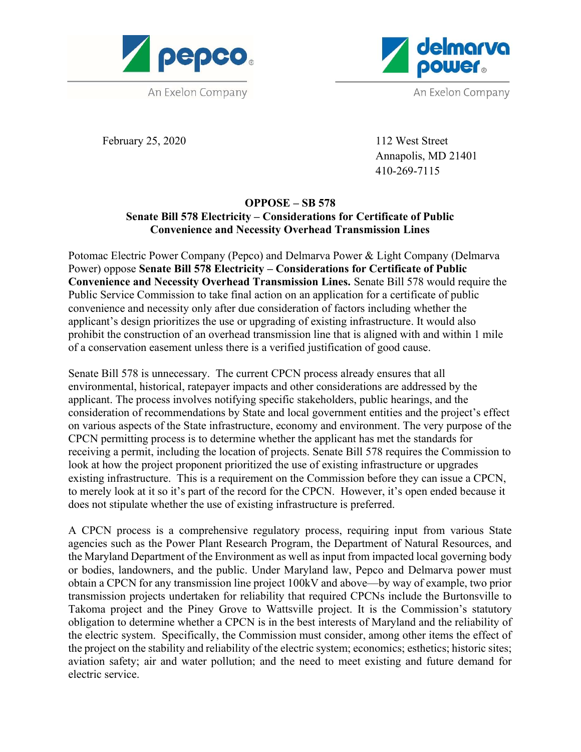



February 25, 2020 112 West Street

 Annapolis, MD 21401 410-269-7115

## OPPOSE – SB 578 Senate Bill 578 Electricity – Considerations for Certificate of Public Convenience and Necessity Overhead Transmission Lines

Potomac Electric Power Company (Pepco) and Delmarva Power & Light Company (Delmarva Power) oppose Senate Bill 578 Electricity – Considerations for Certificate of Public Convenience and Necessity Overhead Transmission Lines. Senate Bill 578 would require the Public Service Commission to take final action on an application for a certificate of public convenience and necessity only after due consideration of factors including whether the applicant's design prioritizes the use or upgrading of existing infrastructure. It would also prohibit the construction of an overhead transmission line that is aligned with and within 1 mile of a conservation easement unless there is a verified justification of good cause.

Senate Bill 578 is unnecessary. The current CPCN process already ensures that all environmental, historical, ratepayer impacts and other considerations are addressed by the applicant. The process involves notifying specific stakeholders, public hearings, and the consideration of recommendations by State and local government entities and the project's effect on various aspects of the State infrastructure, economy and environment. The very purpose of the CPCN permitting process is to determine whether the applicant has met the standards for receiving a permit, including the location of projects. Senate Bill 578 requires the Commission to look at how the project proponent prioritized the use of existing infrastructure or upgrades existing infrastructure. This is a requirement on the Commission before they can issue a CPCN, to merely look at it so it's part of the record for the CPCN. However, it's open ended because it does not stipulate whether the use of existing infrastructure is preferred.

A CPCN process is a comprehensive regulatory process, requiring input from various State agencies such as the Power Plant Research Program, the Department of Natural Resources, and the Maryland Department of the Environment as well as input from impacted local governing body or bodies, landowners, and the public. Under Maryland law, Pepco and Delmarva power must obtain a CPCN for any transmission line project 100kV and above—by way of example, two prior transmission projects undertaken for reliability that required CPCNs include the Burtonsville to Takoma project and the Piney Grove to Wattsville project. It is the Commission's statutory obligation to determine whether a CPCN is in the best interests of Maryland and the reliability of the electric system. Specifically, the Commission must consider, among other items the effect of the project on the stability and reliability of the electric system; economics; esthetics; historic sites; aviation safety; air and water pollution; and the need to meet existing and future demand for electric service.